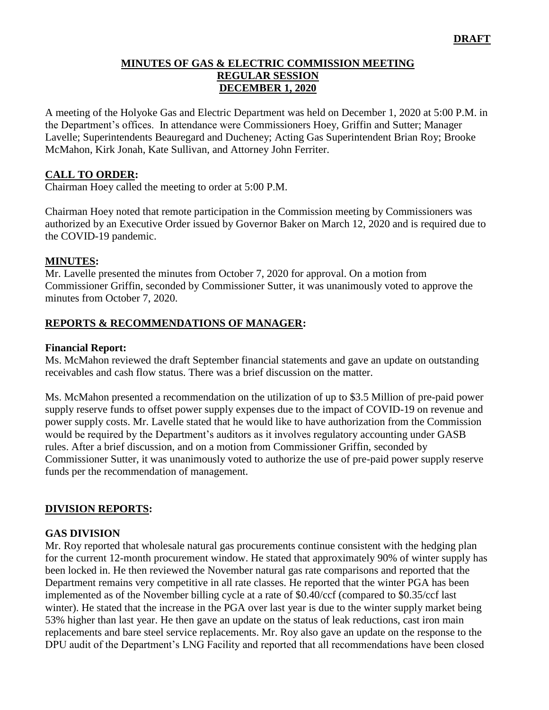#### **MINUTES OF GAS & ELECTRIC COMMISSION MEETING REGULAR SESSION DECEMBER 1, 2020**

A meeting of the Holyoke Gas and Electric Department was held on December 1, 2020 at 5:00 P.M. in the Department's offices. In attendance were Commissioners Hoey, Griffin and Sutter; Manager Lavelle; Superintendents Beauregard and Ducheney; Acting Gas Superintendent Brian Roy; Brooke McMahon, Kirk Jonah, Kate Sullivan, and Attorney John Ferriter.

#### **CALL TO ORDER:**

Chairman Hoey called the meeting to order at 5:00 P.M.

Chairman Hoey noted that remote participation in the Commission meeting by Commissioners was authorized by an Executive Order issued by Governor Baker on March 12, 2020 and is required due to the COVID-19 pandemic.

#### **MINUTES:**

Mr. Lavelle presented the minutes from October 7, 2020 for approval. On a motion from Commissioner Griffin, seconded by Commissioner Sutter, it was unanimously voted to approve the minutes from October 7, 2020.

#### **REPORTS & RECOMMENDATIONS OF MANAGER:**

#### **Financial Report:**

Ms. McMahon reviewed the draft September financial statements and gave an update on outstanding receivables and cash flow status. There was a brief discussion on the matter.

Ms. McMahon presented a recommendation on the utilization of up to \$3.5 Million of pre-paid power supply reserve funds to offset power supply expenses due to the impact of COVID-19 on revenue and power supply costs. Mr. Lavelle stated that he would like to have authorization from the Commission would be required by the Department's auditors as it involves regulatory accounting under GASB rules. After a brief discussion, and on a motion from Commissioner Griffin, seconded by Commissioner Sutter, it was unanimously voted to authorize the use of pre-paid power supply reserve funds per the recommendation of management.

#### **DIVISION REPORTS:**

#### **GAS DIVISION**

Mr. Roy reported that wholesale natural gas procurements continue consistent with the hedging plan for the current 12-month procurement window. He stated that approximately 90% of winter supply has been locked in. He then reviewed the November natural gas rate comparisons and reported that the Department remains very competitive in all rate classes. He reported that the winter PGA has been implemented as of the November billing cycle at a rate of \$0.40/ccf (compared to \$0.35/ccf last winter). He stated that the increase in the PGA over last year is due to the winter supply market being 53% higher than last year. He then gave an update on the status of leak reductions, cast iron main replacements and bare steel service replacements. Mr. Roy also gave an update on the response to the DPU audit of the Department's LNG Facility and reported that all recommendations have been closed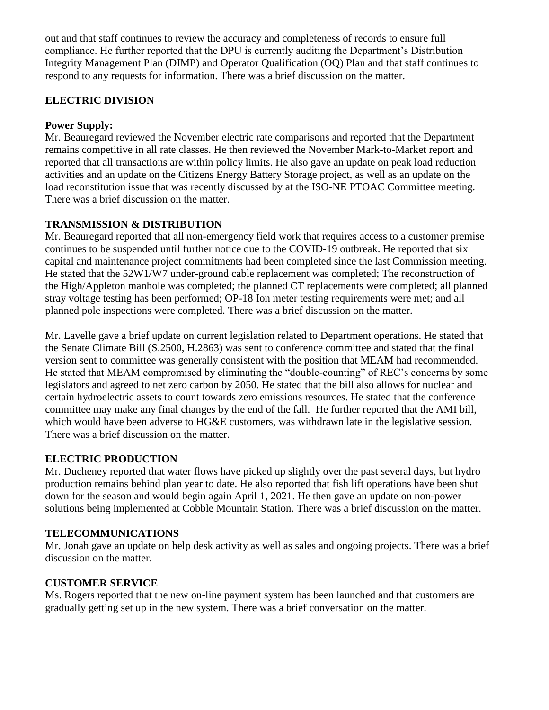out and that staff continues to review the accuracy and completeness of records to ensure full compliance. He further reported that the DPU is currently auditing the Department's Distribution Integrity Management Plan (DIMP) and Operator Qualification (OQ) Plan and that staff continues to respond to any requests for information. There was a brief discussion on the matter.

### **ELECTRIC DIVISION**

#### **Power Supply:**

Mr. Beauregard reviewed the November electric rate comparisons and reported that the Department remains competitive in all rate classes. He then reviewed the November Mark-to-Market report and reported that all transactions are within policy limits. He also gave an update on peak load reduction activities and an update on the Citizens Energy Battery Storage project, as well as an update on the load reconstitution issue that was recently discussed by at the ISO-NE PTOAC Committee meeting. There was a brief discussion on the matter.

### **TRANSMISSION & DISTRIBUTION**

Mr. Beauregard reported that all non-emergency field work that requires access to a customer premise continues to be suspended until further notice due to the COVID-19 outbreak. He reported that six capital and maintenance project commitments had been completed since the last Commission meeting. He stated that the 52W1/W7 under-ground cable replacement was completed; The reconstruction of the High/Appleton manhole was completed; the planned CT replacements were completed; all planned stray voltage testing has been performed; OP-18 Ion meter testing requirements were met; and all planned pole inspections were completed. There was a brief discussion on the matter.

Mr. Lavelle gave a brief update on current legislation related to Department operations. He stated that the Senate Climate Bill (S.2500, H.2863) was sent to conference committee and stated that the final version sent to committee was generally consistent with the position that MEAM had recommended. He stated that MEAM compromised by eliminating the "double-counting" of REC's concerns by some legislators and agreed to net zero carbon by 2050. He stated that the bill also allows for nuclear and certain hydroelectric assets to count towards zero emissions resources. He stated that the conference committee may make any final changes by the end of the fall. He further reported that the AMI bill, which would have been adverse to HG&E customers, was withdrawn late in the legislative session. There was a brief discussion on the matter.

## **ELECTRIC PRODUCTION**

Mr. Ducheney reported that water flows have picked up slightly over the past several days, but hydro production remains behind plan year to date. He also reported that fish lift operations have been shut down for the season and would begin again April 1, 2021. He then gave an update on non-power solutions being implemented at Cobble Mountain Station. There was a brief discussion on the matter.

## **TELECOMMUNICATIONS**

Mr. Jonah gave an update on help desk activity as well as sales and ongoing projects. There was a brief discussion on the matter.

## **CUSTOMER SERVICE**

Ms. Rogers reported that the new on-line payment system has been launched and that customers are gradually getting set up in the new system. There was a brief conversation on the matter.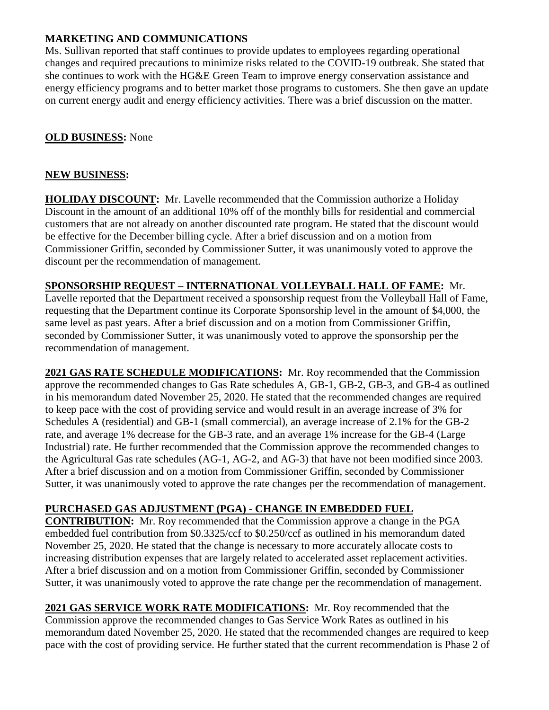#### **MARKETING AND COMMUNICATIONS**

Ms. Sullivan reported that staff continues to provide updates to employees regarding operational changes and required precautions to minimize risks related to the COVID-19 outbreak. She stated that she continues to work with the HG&E Green Team to improve energy conservation assistance and energy efficiency programs and to better market those programs to customers. She then gave an update on current energy audit and energy efficiency activities. There was a brief discussion on the matter.

## **OLD BUSINESS:** None

### **NEW BUSINESS:**

**HOLIDAY DISCOUNT:** Mr. Lavelle recommended that the Commission authorize a Holiday Discount in the amount of an additional 10% off of the monthly bills for residential and commercial customers that are not already on another discounted rate program. He stated that the discount would be effective for the December billing cycle. After a brief discussion and on a motion from Commissioner Griffin, seconded by Commissioner Sutter, it was unanimously voted to approve the discount per the recommendation of management.

**SPONSORSHIP REQUEST – INTERNATIONAL VOLLEYBALL HALL OF FAME:** Mr. Lavelle reported that the Department received a sponsorship request from the Volleyball Hall of Fame, requesting that the Department continue its Corporate Sponsorship level in the amount of \$4,000, the same level as past years. After a brief discussion and on a motion from Commissioner Griffin, seconded by Commissioner Sutter, it was unanimously voted to approve the sponsorship per the recommendation of management.

**2021 GAS RATE SCHEDULE MODIFICATIONS:** Mr. Roy recommended that the Commission approve the recommended changes to Gas Rate schedules A, GB-1, GB-2, GB-3, and GB-4 as outlined in his memorandum dated November 25, 2020. He stated that the recommended changes are required to keep pace with the cost of providing service and would result in an average increase of 3% for Schedules A (residential) and GB-1 (small commercial), an average increase of 2.1% for the GB-2 rate, and average 1% decrease for the GB-3 rate, and an average 1% increase for the GB-4 (Large Industrial) rate. He further recommended that the Commission approve the recommended changes to the Agricultural Gas rate schedules (AG-1, AG-2, and AG-3) that have not been modified since 2003. After a brief discussion and on a motion from Commissioner Griffin, seconded by Commissioner Sutter, it was unanimously voted to approve the rate changes per the recommendation of management.

## **PURCHASED GAS ADJUSTMENT (PGA) - CHANGE IN EMBEDDED FUEL**

**CONTRIBUTION:** Mr. Roy recommended that the Commission approve a change in the PGA embedded fuel contribution from \$0.3325/ccf to \$0.250/ccf as outlined in his memorandum dated November 25, 2020. He stated that the change is necessary to more accurately allocate costs to increasing distribution expenses that are largely related to accelerated asset replacement activities. After a brief discussion and on a motion from Commissioner Griffin, seconded by Commissioner Sutter, it was unanimously voted to approve the rate change per the recommendation of management.

**2021 GAS SERVICE WORK RATE MODIFICATIONS:** Mr. Roy recommended that the Commission approve the recommended changes to Gas Service Work Rates as outlined in his memorandum dated November 25, 2020. He stated that the recommended changes are required to keep pace with the cost of providing service. He further stated that the current recommendation is Phase 2 of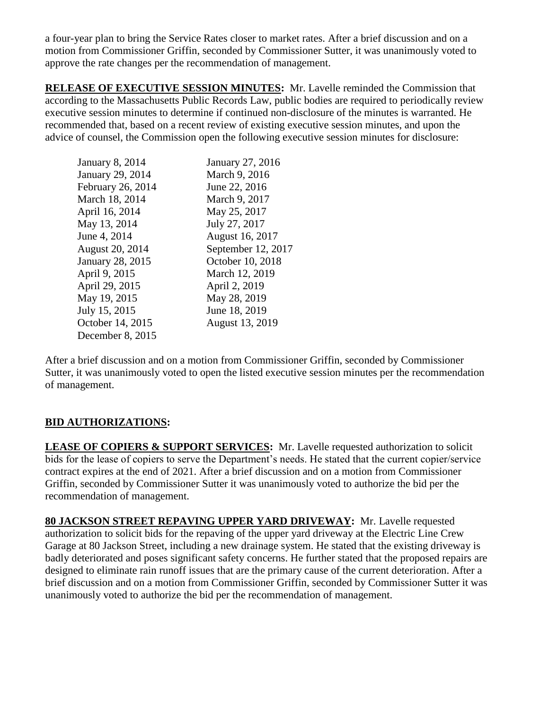a four-year plan to bring the Service Rates closer to market rates. After a brief discussion and on a motion from Commissioner Griffin, seconded by Commissioner Sutter, it was unanimously voted to approve the rate changes per the recommendation of management.

**RELEASE OF EXECUTIVE SESSION MINUTES:** Mr. Lavelle reminded the Commission that according to the Massachusetts Public Records Law, public bodies are required to periodically review executive session minutes to determine if continued non-disclosure of the minutes is warranted. He recommended that, based on a recent review of existing executive session minutes, and upon the advice of counsel, the Commission open the following executive session minutes for disclosure:

| <b>January 8, 2014</b> | January 27, 2016   |
|------------------------|--------------------|
| January 29, 2014       | March 9, 2016      |
| February 26, 2014      | June 22, 2016      |
| March 18, 2014         | March 9, 2017      |
| April 16, 2014         | May 25, 2017       |
| May 13, 2014           | July 27, 2017      |
| June 4, 2014           | August 16, 2017    |
| August 20, 2014        | September 12, 2017 |
| January 28, 2015       | October 10, 2018   |
| April 9, 2015          | March 12, 2019     |
| April 29, 2015         | April 2, 2019      |
| May 19, 2015           | May 28, 2019       |
| July 15, 2015          | June 18, 2019      |
| October 14, 2015       | August 13, 2019    |
| December 8, 2015       |                    |

After a brief discussion and on a motion from Commissioner Griffin, seconded by Commissioner Sutter, it was unanimously voted to open the listed executive session minutes per the recommendation of management.

## **BID AUTHORIZATIONS:**

**LEASE OF COPIERS & SUPPORT SERVICES:** Mr. Lavelle requested authorization to solicit bids for the lease of copiers to serve the Department's needs. He stated that the current copier/service contract expires at the end of 2021. After a brief discussion and on a motion from Commissioner Griffin, seconded by Commissioner Sutter it was unanimously voted to authorize the bid per the recommendation of management.

**80 JACKSON STREET REPAVING UPPER YARD DRIVEWAY:** Mr. Lavelle requested authorization to solicit bids for the repaving of the upper yard driveway at the Electric Line Crew Garage at 80 Jackson Street, including a new drainage system. He stated that the existing driveway is badly deteriorated and poses significant safety concerns. He further stated that the proposed repairs are designed to eliminate rain runoff issues that are the primary cause of the current deterioration. After a brief discussion and on a motion from Commissioner Griffin, seconded by Commissioner Sutter it was unanimously voted to authorize the bid per the recommendation of management.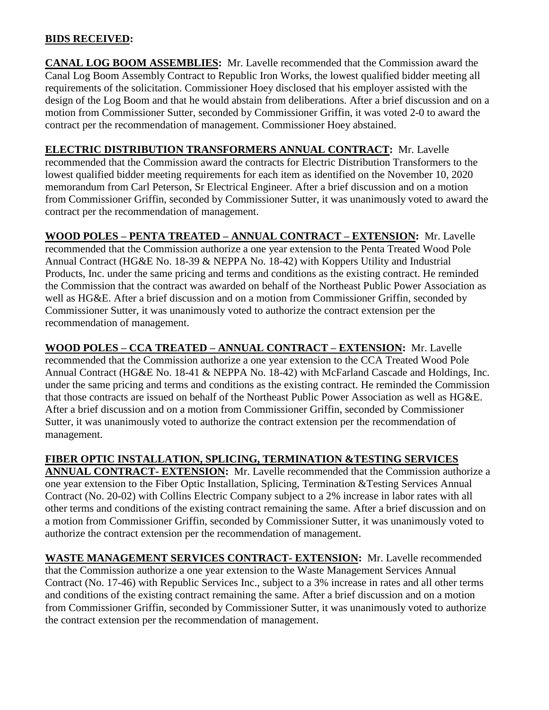#### **BIDS RECEIVED:**

**CANAL LOG BOOM ASSEMBLIES:** Mr. Lavelle recommended that the Commission award the Canal Log Boom Assembly Contract to Republic Iron Works, the lowest qualified bidder meeting all requirements of the solicitation. Commissioner Hoey disclosed that his employer assisted with the design of the Log Boom and that he would abstain from deliberations. After a brief discussion and on a motion from Commissioner Sutter, seconded by Commissioner Griffin, it was voted 2-0 to award the contract per the recommendation of management. Commissioner Hoey abstained.

**ELECTRIC DISTRIBUTION TRANSFORMERS ANNUAL CONTRACT:** Mr. Lavelle recommended that the Commission award the contracts for Electric Distribution Transformers to the lowest qualified bidder meeting requirements for each item as identified on the November 10, 2020 memorandum from Carl Peterson, Sr Electrical Engineer. After a brief discussion and on a motion from Commissioner Griffin, seconded by Commissioner Sutter, it was unanimously voted to award the contract per the recommendation of management.

**WOOD POLES – PENTA TREATED – ANNUAL CONTRACT – EXTENSION:** Mr. Lavelle recommended that the Commission authorize a one year extension to the Penta Treated Wood Pole Annual Contract (HG&E No. 18-39 & NEPPA No. 18-42) with Koppers Utility and Industrial Products, Inc. under the same pricing and terms and conditions as the existing contract. He reminded the Commission that the contract was awarded on behalf of the Northeast Public Power Association as well as HG&E. After a brief discussion and on a motion from Commissioner Griffin, seconded by Commissioner Sutter, it was unanimously voted to authorize the contract extension per the recommendation of management.

**WOOD POLES – CCA TREATED – ANNUAL CONTRACT – EXTENSION:** Mr. Lavelle recommended that the Commission authorize a one year extension to the CCA Treated Wood Pole Annual Contract (HG&E No. 18-41 & NEPPA No. 18-42) with McFarland Cascade and Holdings, Inc. under the same pricing and terms and conditions as the existing contract. He reminded the Commission that those contracts are issued on behalf of the Northeast Public Power Association as well as HG&E. After a brief discussion and on a motion from Commissioner Griffin, seconded by Commissioner Sutter, it was unanimously voted to authorize the contract extension per the recommendation of management.

## **FIBER OPTIC INSTALLATION, SPLICING, TERMINATION &TESTING SERVICES**

**ANNUAL CONTRACT- EXTENSION:** Mr. Lavelle recommended that the Commission authorize a one year extension to the Fiber Optic Installation, Splicing, Termination &Testing Services Annual Contract (No. 20-02) with Collins Electric Company subject to a 2% increase in labor rates with all other terms and conditions of the existing contract remaining the same. After a brief discussion and on a motion from Commissioner Griffin, seconded by Commissioner Sutter, it was unanimously voted to authorize the contract extension per the recommendation of management.

**WASTE MANAGEMENT SERVICES CONTRACT- EXTENSION:** Mr. Lavelle recommended that the Commission authorize a one year extension to the Waste Management Services Annual Contract (No. 17-46) with Republic Services Inc., subject to a 3% increase in rates and all other terms and conditions of the existing contract remaining the same. After a brief discussion and on a motion from Commissioner Griffin, seconded by Commissioner Sutter, it was unanimously voted to authorize the contract extension per the recommendation of management.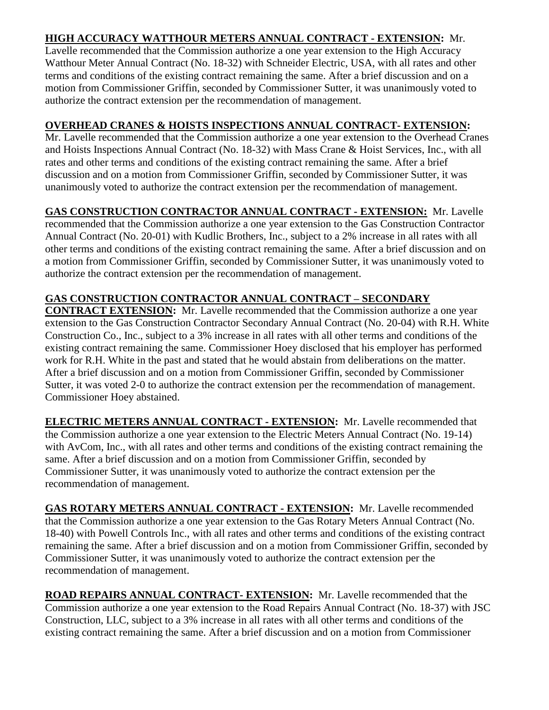## **HIGH ACCURACY WATTHOUR METERS ANNUAL CONTRACT - EXTENSION:** Mr.

Lavelle recommended that the Commission authorize a one year extension to the High Accuracy Watthour Meter Annual Contract (No. 18-32) with Schneider Electric, USA, with all rates and other terms and conditions of the existing contract remaining the same. After a brief discussion and on a motion from Commissioner Griffin, seconded by Commissioner Sutter, it was unanimously voted to authorize the contract extension per the recommendation of management.

# **OVERHEAD CRANES & HOISTS INSPECTIONS ANNUAL CONTRACT- EXTENSION:**

Mr. Lavelle recommended that the Commission authorize a one year extension to the Overhead Cranes and Hoists Inspections Annual Contract (No. 18-32) with Mass Crane & Hoist Services, Inc., with all rates and other terms and conditions of the existing contract remaining the same. After a brief discussion and on a motion from Commissioner Griffin, seconded by Commissioner Sutter, it was unanimously voted to authorize the contract extension per the recommendation of management.

**GAS CONSTRUCTION CONTRACTOR ANNUAL CONTRACT - EXTENSION:** Mr. Lavelle recommended that the Commission authorize a one year extension to the Gas Construction Contractor Annual Contract (No. 20-01) with Kudlic Brothers, Inc., subject to a 2% increase in all rates with all other terms and conditions of the existing contract remaining the same. After a brief discussion and on a motion from Commissioner Griffin, seconded by Commissioner Sutter, it was unanimously voted to authorize the contract extension per the recommendation of management.

# **GAS CONSTRUCTION CONTRACTOR ANNUAL CONTRACT – SECONDARY**

**CONTRACT EXTENSION:** Mr. Lavelle recommended that the Commission authorize a one year extension to the Gas Construction Contractor Secondary Annual Contract (No. 20-04) with R.H. White Construction Co., Inc., subject to a 3% increase in all rates with all other terms and conditions of the existing contract remaining the same. Commissioner Hoey disclosed that his employer has performed work for R.H. White in the past and stated that he would abstain from deliberations on the matter. After a brief discussion and on a motion from Commissioner Griffin, seconded by Commissioner Sutter, it was voted 2-0 to authorize the contract extension per the recommendation of management. Commissioner Hoey abstained.

**ELECTRIC METERS ANNUAL CONTRACT - EXTENSION:** Mr. Lavelle recommended that the Commission authorize a one year extension to the Electric Meters Annual Contract (No. 19-14) with AvCom, Inc., with all rates and other terms and conditions of the existing contract remaining the same. After a brief discussion and on a motion from Commissioner Griffin, seconded by Commissioner Sutter, it was unanimously voted to authorize the contract extension per the recommendation of management.

**GAS ROTARY METERS ANNUAL CONTRACT - EXTENSION:** Mr. Lavelle recommended that the Commission authorize a one year extension to the Gas Rotary Meters Annual Contract (No. 18-40) with Powell Controls Inc., with all rates and other terms and conditions of the existing contract remaining the same. After a brief discussion and on a motion from Commissioner Griffin, seconded by Commissioner Sutter, it was unanimously voted to authorize the contract extension per the recommendation of management.

**ROAD REPAIRS ANNUAL CONTRACT- EXTENSION:** Mr. Lavelle recommended that the Commission authorize a one year extension to the Road Repairs Annual Contract (No. 18-37) with JSC Construction, LLC, subject to a 3% increase in all rates with all other terms and conditions of the existing contract remaining the same. After a brief discussion and on a motion from Commissioner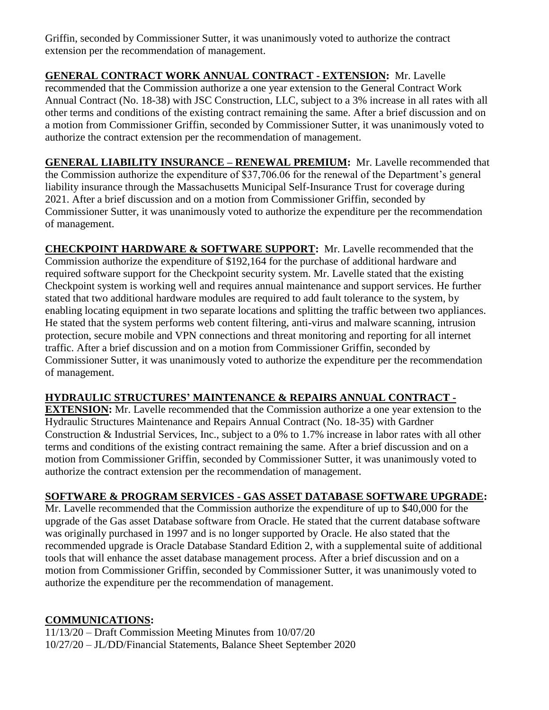Griffin, seconded by Commissioner Sutter, it was unanimously voted to authorize the contract extension per the recommendation of management.

**GENERAL CONTRACT WORK ANNUAL CONTRACT - EXTENSION:** Mr. Lavelle recommended that the Commission authorize a one year extension to the General Contract Work Annual Contract (No. 18-38) with JSC Construction, LLC, subject to a 3% increase in all rates with all other terms and conditions of the existing contract remaining the same. After a brief discussion and on a motion from Commissioner Griffin, seconded by Commissioner Sutter, it was unanimously voted to authorize the contract extension per the recommendation of management.

**GENERAL LIABILITY INSURANCE – RENEWAL PREMIUM:** Mr. Lavelle recommended that the Commission authorize the expenditure of \$37,706.06 for the renewal of the Department's general liability insurance through the Massachusetts Municipal Self-Insurance Trust for coverage during 2021. After a brief discussion and on a motion from Commissioner Griffin, seconded by Commissioner Sutter, it was unanimously voted to authorize the expenditure per the recommendation of management.

**CHECKPOINT HARDWARE & SOFTWARE SUPPORT:** Mr. Lavelle recommended that the Commission authorize the expenditure of \$192,164 for the purchase of additional hardware and required software support for the Checkpoint security system. Mr. Lavelle stated that the existing Checkpoint system is working well and requires annual maintenance and support services. He further stated that two additional hardware modules are required to add fault tolerance to the system, by enabling locating equipment in two separate locations and splitting the traffic between two appliances. He stated that the system performs web content filtering, anti-virus and malware scanning, intrusion protection, secure mobile and VPN connections and threat monitoring and reporting for all internet traffic. After a brief discussion and on a motion from Commissioner Griffin, seconded by Commissioner Sutter, it was unanimously voted to authorize the expenditure per the recommendation of management.

## **HYDRAULIC STRUCTURES' MAINTENANCE & REPAIRS ANNUAL CONTRACT -**

**EXTENSION:** Mr. Lavelle recommended that the Commission authorize a one year extension to the Hydraulic Structures Maintenance and Repairs Annual Contract (No. 18-35) with Gardner Construction & Industrial Services, Inc., subject to a 0% to 1.7% increase in labor rates with all other terms and conditions of the existing contract remaining the same. After a brief discussion and on a motion from Commissioner Griffin, seconded by Commissioner Sutter, it was unanimously voted to authorize the contract extension per the recommendation of management.

# **SOFTWARE & PROGRAM SERVICES - GAS ASSET DATABASE SOFTWARE UPGRADE:**

Mr. Lavelle recommended that the Commission authorize the expenditure of up to \$40,000 for the upgrade of the Gas asset Database software from Oracle. He stated that the current database software was originally purchased in 1997 and is no longer supported by Oracle. He also stated that the recommended upgrade is Oracle Database Standard Edition 2, with a supplemental suite of additional tools that will enhance the asset database management process. After a brief discussion and on a motion from Commissioner Griffin, seconded by Commissioner Sutter, it was unanimously voted to authorize the expenditure per the recommendation of management.

## **COMMUNICATIONS:**

11/13/20 – Draft Commission Meeting Minutes from 10/07/20 10/27/20 – JL/DD/Financial Statements, Balance Sheet September 2020